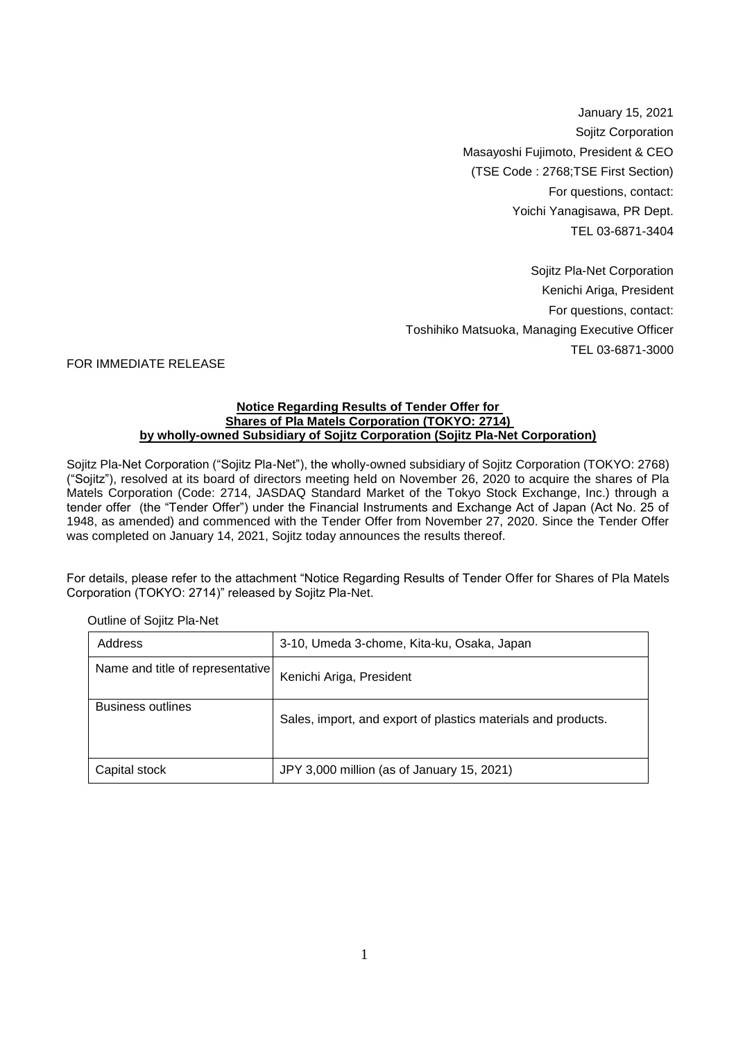January 15, 2021 Sojitz Corporation Masayoshi Fujimoto, President & CEO (TSE Code : 2768;TSE First Section) For questions, contact: Yoichi Yanagisawa, PR Dept. TEL 03-6871-3404

Sojitz Pla-Net Corporation Kenichi Ariga, President For questions, contact: Toshihiko Matsuoka, Managing Executive Officer TEL 03-6871-3000

## FOR IMMEDIATE RELEASE

## **Notice Regarding Results of Tender Offer for Shares of Pla Matels Corporation (TOKYO: 2714) by wholly-owned Subsidiary of Sojitz Corporation (Sojitz Pla-Net Corporation)**

Sojitz Pla-Net Corporation ("Sojitz Pla-Net"), the wholly-owned subsidiary of Sojitz Corporation (TOKYO: 2768) ("Sojitz"), resolved at its board of directors meeting held on November 26, 2020 to acquire the shares of Pla Matels Corporation (Code: 2714, JASDAQ Standard Market of the Tokyo Stock Exchange, Inc.) through a tender offer (the "Tender Offer") under the Financial Instruments and Exchange Act of Japan (Act No. 25 of 1948, as amended) and commenced with the Tender Offer from November 27, 2020. Since the Tender Offer was completed on January 14, 2021, Sojitz today announces the results thereof.

For details, please refer to the attachment "Notice Regarding Results of Tender Offer for Shares of Pla Matels Corporation (TOKYO: 2714)" released by Sojitz Pla-Net.

| Address                          | 3-10, Umeda 3-chome, Kita-ku, Osaka, Japan                    |
|----------------------------------|---------------------------------------------------------------|
| Name and title of representative | Kenichi Ariga, President                                      |
| Business outlines                | Sales, import, and export of plastics materials and products. |
| Capital stock                    | JPY 3,000 million (as of January 15, 2021)                    |

Outline of Sojitz Pla-Net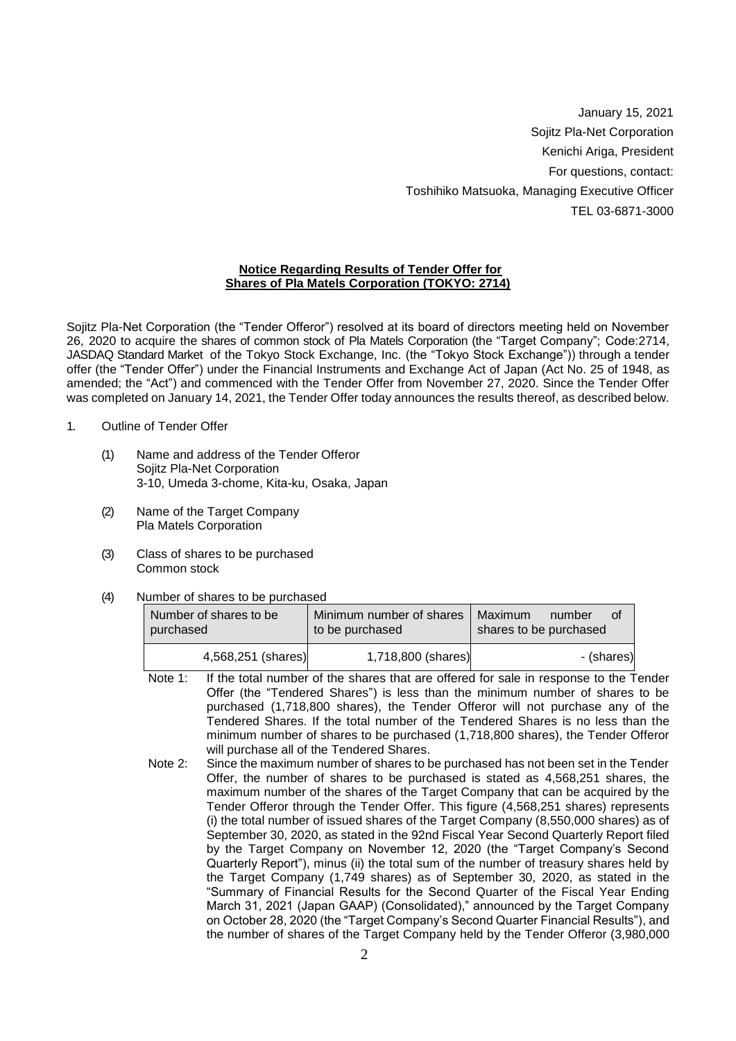January 15, 2021 Sojitz Pla-Net Corporation Kenichi Ariga, President For questions, contact: Toshihiko Matsuoka, Managing Executive Officer TEL 03-6871-3000

## **Notice Regarding Results of Tender Offer for Shares of Pla Matels Corporation (TOKYO: 2714)**

Sojitz Pla-Net Corporation (the "Tender Offeror") resolved at its board of directors meeting held on November 26, 2020 to acquire the shares of common stock of Pla Matels Corporation (the "Target Company"; Code:2714, JASDAQ Standard Market of the Tokyo Stock Exchange, Inc. (the "Tokyo Stock Exchange")) through a tender offer (the "Tender Offer") under the Financial Instruments and Exchange Act of Japan (Act No. 25 of 1948, as amended; the "Act") and commenced with the Tender Offer from November 27, 2020. Since the Tender Offer was completed on January 14, 2021, the Tender Offer today announces the results thereof, as described below.

- 1. Outline of Tender Offer
	- (1) Name and address of the Tender Offeror Sojitz Pla-Net Corporation 3-10, Umeda 3-chome, Kita-ku, Osaka, Japan
	- (2) Name of the Target Company Pla Matels Corporation
	- (3) Class of shares to be purchased Common stock
	- (4) Number of shares to be purchased

| Number of shares to be<br>purchased | Minimum number of shares<br>to be purchased | Maximum<br>number<br>Ωt<br>shares to be purchased |
|-------------------------------------|---------------------------------------------|---------------------------------------------------|
| 4,568,251 (shares)                  | 1,718,800 (shares)                          | - (shares)                                        |

- Note 1: If the total number of the shares that are offered for sale in response to the Tender Offer (the "Tendered Shares") is less than the minimum number of shares to be purchased (1,718,800 shares), the Tender Offeror will not purchase any of the Tendered Shares. If the total number of the Tendered Shares is no less than the minimum number of shares to be purchased (1,718,800 shares), the Tender Offeror will purchase all of the Tendered Shares.
- Note 2: Since the maximum number of shares to be purchased has not been set in the Tender Offer, the number of shares to be purchased is stated as 4,568,251 shares, the maximum number of the shares of the Target Company that can be acquired by the Tender Offeror through the Tender Offer. This figure (4,568,251 shares) represents (i) the total number of issued shares of the Target Company (8,550,000 shares) as of September 30, 2020, as stated in the 92nd Fiscal Year Second Quarterly Report filed by the Target Company on November 12, 2020 (the "Target Company's Second Quarterly Report"), minus (ii) the total sum of the number of treasury shares held by the Target Company (1,749 shares) as of September 30, 2020, as stated in the "Summary of Financial Results for the Second Quarter of the Fiscal Year Ending March 31, 2021 (Japan GAAP) (Consolidated)," announced by the Target Company on October 28, 2020 (the "Target Company's Second Quarter Financial Results"), and the number of shares of the Target Company held by the Tender Offeror (3,980,000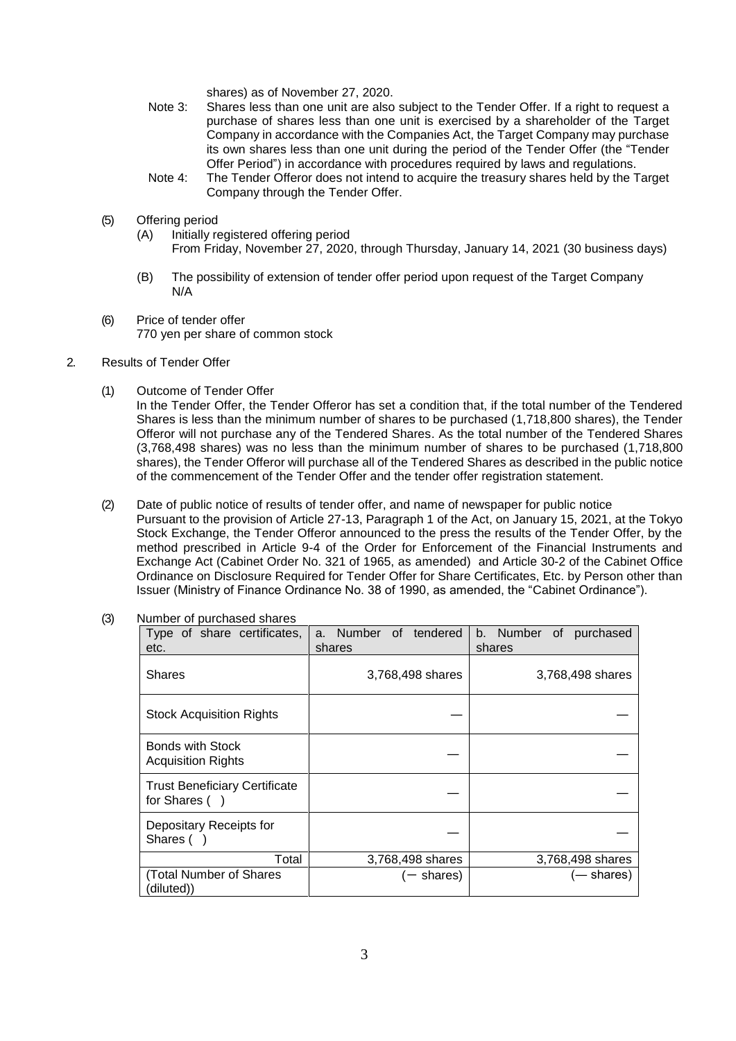shares) as of November 27, 2020.

- Note 3: Shares less than one unit are also subject to the Tender Offer. If a right to request a purchase of shares less than one unit is exercised by a shareholder of the Target Company in accordance with the Companies Act, the Target Company may purchase its own shares less than one unit during the period of the Tender Offer (the "Tender Offer Period") in accordance with procedures required by laws and regulations.
- Note 4: The Tender Offeror does not intend to acquire the treasury shares held by the Target Company through the Tender Offer.
- (5) Offering period
	- (A) Initially registered offering period From Friday, November 27, 2020, through Thursday, January 14, 2021 (30 business days)
	- (B) The possibility of extension of tender offer period upon request of the Target Company N/A
- (6) Price of tender offer 770 yen per share of common stock
- 2. Results of Tender Offer
	- (1) Outcome of Tender Offer

In the Tender Offer, the Tender Offeror has set a condition that, if the total number of the Tendered Shares is less than the minimum number of shares to be purchased (1,718,800 shares), the Tender Offeror will not purchase any of the Tendered Shares. As the total number of the Tendered Shares (3,768,498 shares) was no less than the minimum number of shares to be purchased (1,718,800 shares), the Tender Offeror will purchase all of the Tendered Shares as described in the public notice of the commencement of the Tender Offer and the tender offer registration statement.

(2) Date of public notice of results of tender offer, and name of newspaper for public notice Pursuant to the provision of Article 27-13, Paragraph 1 of the Act, on January 15, 2021, at the Tokyo Stock Exchange, the Tender Offeror announced to the press the results of the Tender Offer, by the method prescribed in Article 9-4 of the Order for Enforcement of the Financial Instruments and Exchange Act (Cabinet Order No. 321 of 1965, as amended) and Article 30-2 of the Cabinet Office Ordinance on Disclosure Required for Tender Offer for Share Certificates, Etc. by Person other than Issuer (Ministry of Finance Ordinance No. 38 of 1990, as amended, the "Cabinet Ordinance").

| Type of share certificates,<br>etc.                   | a. Number of tendered<br>shares | b. Number of purchased<br>shares |
|-------------------------------------------------------|---------------------------------|----------------------------------|
| Shares                                                | 3,768,498 shares                | 3,768,498 shares                 |
| <b>Stock Acquisition Rights</b>                       |                                 |                                  |
| <b>Bonds with Stock</b><br><b>Acquisition Rights</b>  |                                 |                                  |
| <b>Trust Beneficiary Certificate</b><br>for Shares () |                                 |                                  |
| Depositary Receipts for<br>Shares (                   |                                 |                                  |
| Total                                                 | 3,768,498 shares                | 3,768,498 shares                 |
| (Total Number of Shares<br>diluted))                  | $-$ shares)                     | (— shares)                       |

(3) Number of purchased shares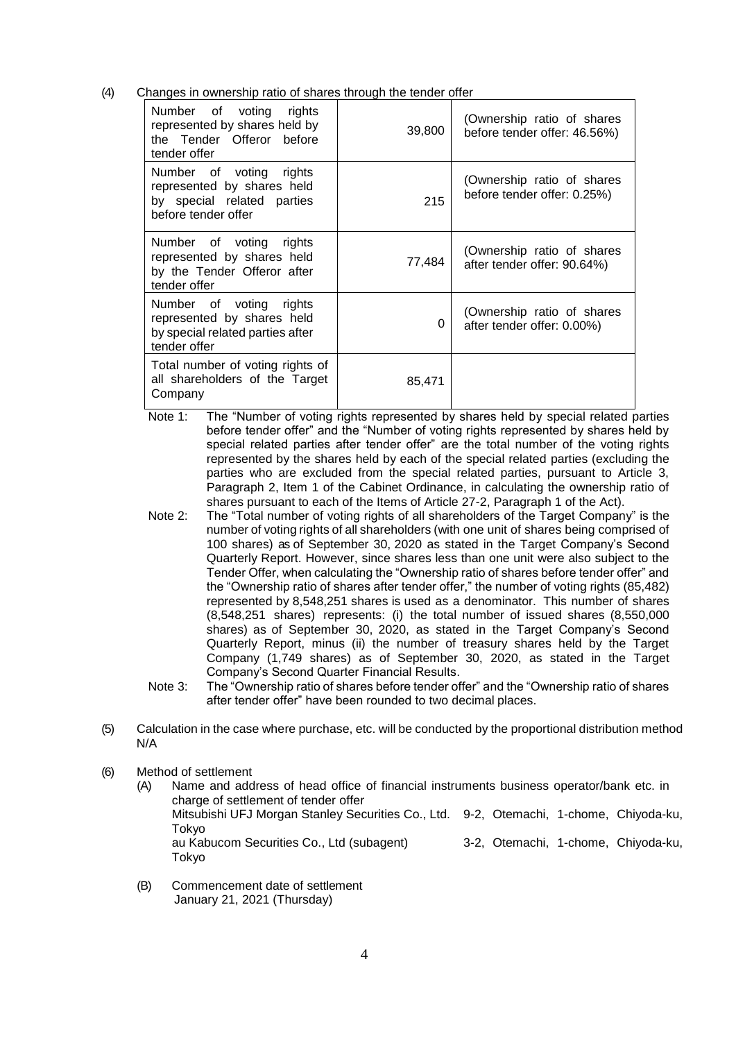(4) Changes in ownership ratio of shares through the tender offer

| Number of voting rights<br>represented by shares held by<br>the Tender Offeror before<br>tender offer      | 39,800 | (Ownership ratio of shares<br>before tender offer: 46.56%) |
|------------------------------------------------------------------------------------------------------------|--------|------------------------------------------------------------|
| Number of voting rights<br>represented by shares held<br>by special related parties<br>before tender offer | 215    | (Ownership ratio of shares<br>before tender offer: 0.25%)  |
| Number of voting rights<br>represented by shares held<br>by the Tender Offeror after<br>tender offer       | 77,484 | (Ownership ratio of shares<br>after tender offer: 90.64%)  |
| Number of voting rights<br>represented by shares held<br>by special related parties after<br>tender offer  | 0      | (Ownership ratio of shares<br>after tender offer: 0.00%)   |
| Total number of voting rights of<br>all shareholders of the Target<br>Company                              | 85,471 |                                                            |

- Note 1: The "Number of voting rights represented by shares held by special related parties before tender offer" and the "Number of voting rights represented by shares held by special related parties after tender offer" are the total number of the voting rights represented by the shares held by each of the special related parties (excluding the parties who are excluded from the special related parties, pursuant to Article 3, Paragraph 2, Item 1 of the Cabinet Ordinance, in calculating the ownership ratio of shares pursuant to each of the Items of Article 27-2, Paragraph 1 of the Act).
- Note 2: The "Total number of voting rights of all shareholders of the Target Company" is the number of voting rights of all shareholders (with one unit of shares being comprised of 100 shares) as of September 30, 2020 as stated in the Target Company's Second Quarterly Report. However, since shares less than one unit were also subject to the Tender Offer, when calculating the "Ownership ratio of shares before tender offer" and the "Ownership ratio of shares after tender offer," the number of voting rights (85,482) represented by 8,548,251 shares is used as a denominator. This number of shares (8,548,251 shares) represents: (i) the total number of issued shares (8,550,000 shares) as of September 30, 2020, as stated in the Target Company's Second Quarterly Report, minus (ii) the number of treasury shares held by the Target Company (1,749 shares) as of September 30, 2020, as stated in the Target Company's Second Quarter Financial Results.
- Note 3: The "Ownership ratio of shares before tender offer" and the "Ownership ratio of shares after tender offer" have been rounded to two decimal places.
- (5) Calculation in the case where purchase, etc. will be conducted by the proportional distribution method N/A
- (6) Method of settlement
	- (A) Name and address of head office of financial instruments business operator/bank etc. in charge of settlement of tender offer Mitsubishi UFJ Morgan Stanley Securities Co., Ltd. 9-2, Otemachi, 1-chome, Chiyoda-ku, Tokyo au Kabucom Securities Co., Ltd (subagent) 3-2, Otemachi, 1-chome, Chiyoda-ku, Tokyo
	- (B) Commencement date of settlement January 21, 2021 (Thursday)